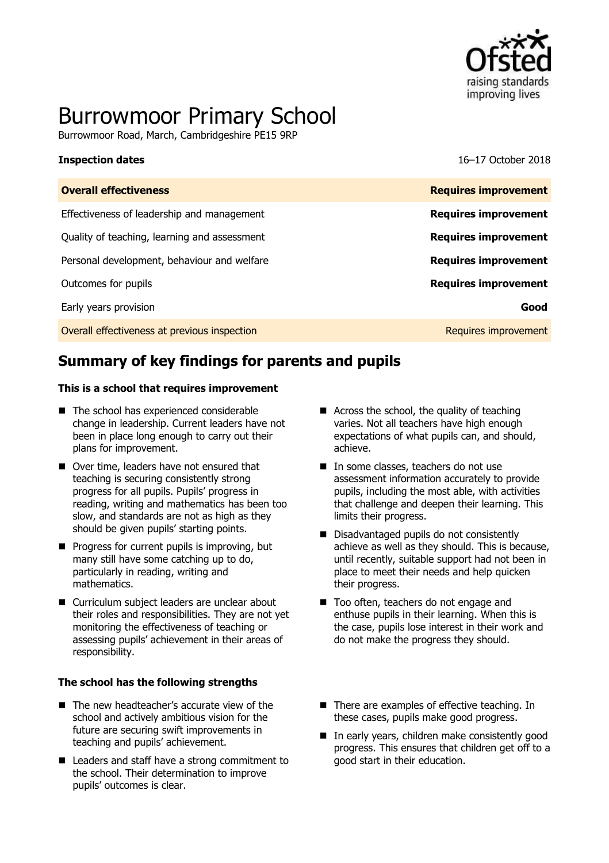

# Burrowmoor Primary School

Burrowmoor Road, March, Cambridgeshire PE15 9RP

**Inspection dates** 16–17 October 2018

| <b>Overall effectiveness</b>                 | <b>Requires improvement</b> |
|----------------------------------------------|-----------------------------|
| Effectiveness of leadership and management   | <b>Requires improvement</b> |
| Quality of teaching, learning and assessment | <b>Requires improvement</b> |
| Personal development, behaviour and welfare  | <b>Requires improvement</b> |
| Outcomes for pupils                          | <b>Requires improvement</b> |
| Early years provision                        | Good                        |
| Overall effectiveness at previous inspection | Requires improvement        |

# **Summary of key findings for parents and pupils**

### **This is a school that requires improvement**

- The school has experienced considerable change in leadership. Current leaders have not been in place long enough to carry out their plans for improvement.
- Over time, leaders have not ensured that teaching is securing consistently strong progress for all pupils. Pupils' progress in reading, writing and mathematics has been too slow, and standards are not as high as they should be given pupils' starting points.
- $\blacksquare$  Progress for current pupils is improving, but many still have some catching up to do, particularly in reading, writing and mathematics.
- Curriculum subject leaders are unclear about their roles and responsibilities. They are not yet monitoring the effectiveness of teaching or assessing pupils' achievement in their areas of responsibility.

### **The school has the following strengths**

- The new headteacher's accurate view of the school and actively ambitious vision for the future are securing swift improvements in teaching and pupils' achievement.
- Leaders and staff have a strong commitment to the school. Their determination to improve pupils' outcomes is clear.
- Across the school, the quality of teaching varies. Not all teachers have high enough expectations of what pupils can, and should, achieve.
- In some classes, teachers do not use assessment information accurately to provide pupils, including the most able, with activities that challenge and deepen their learning. This limits their progress.
- Disadvantaged pupils do not consistently achieve as well as they should. This is because, until recently, suitable support had not been in place to meet their needs and help quicken their progress.
- Too often, teachers do not engage and enthuse pupils in their learning. When this is the case, pupils lose interest in their work and do not make the progress they should.
- There are examples of effective teaching. In these cases, pupils make good progress.
- In early years, children make consistently good progress. This ensures that children get off to a good start in their education.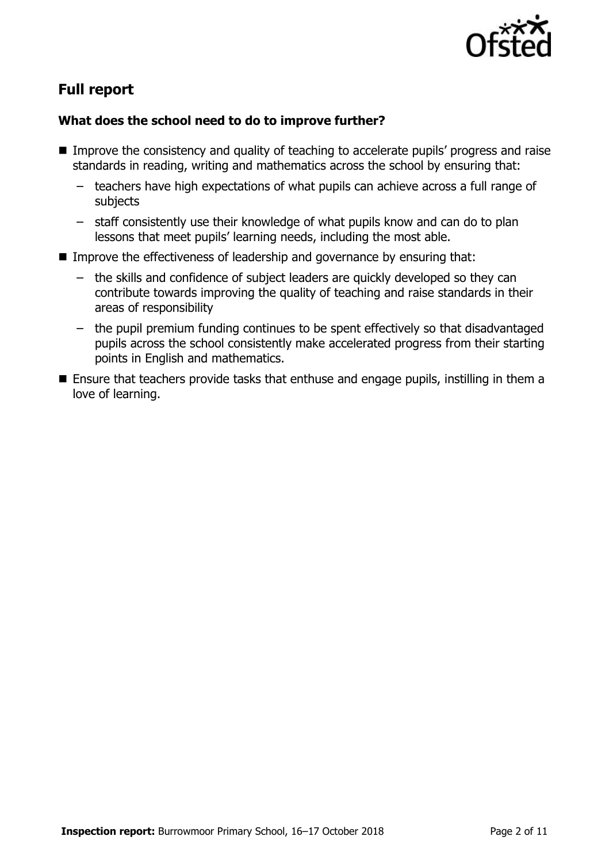

# **Full report**

# **What does the school need to do to improve further?**

- **IMPROVE the consistency and quality of teaching to accelerate pupils' progress and raise** standards in reading, writing and mathematics across the school by ensuring that:
	- teachers have high expectations of what pupils can achieve across a full range of subjects
	- staff consistently use their knowledge of what pupils know and can do to plan lessons that meet pupils' learning needs, including the most able.
- Improve the effectiveness of leadership and governance by ensuring that:
	- the skills and confidence of subject leaders are quickly developed so they can contribute towards improving the quality of teaching and raise standards in their areas of responsibility
	- the pupil premium funding continues to be spent effectively so that disadvantaged pupils across the school consistently make accelerated progress from their starting points in English and mathematics.
- **E** Ensure that teachers provide tasks that enthuse and engage pupils, instilling in them a love of learning.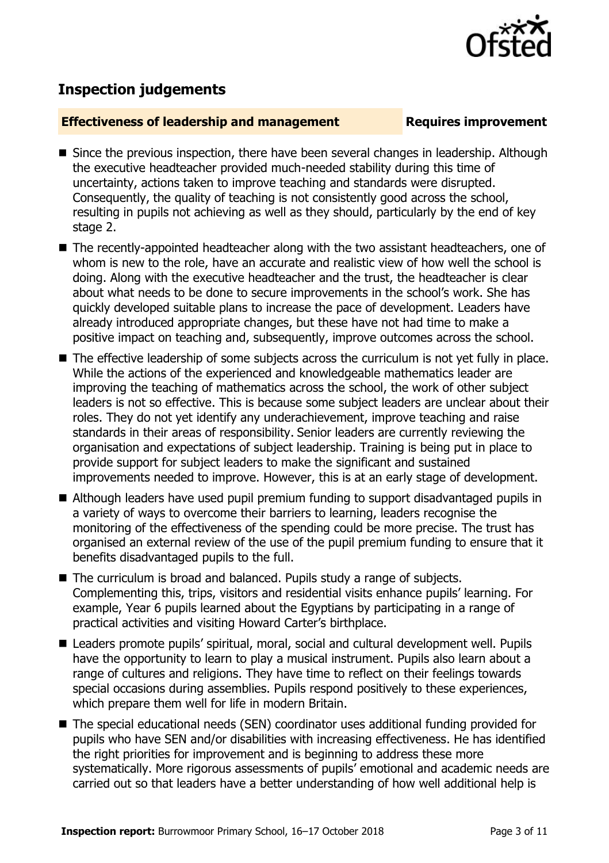

# **Inspection judgements**

# **Effectiveness of leadership and management Requires improvement**

- Since the previous inspection, there have been several changes in leadership. Although the executive headteacher provided much-needed stability during this time of uncertainty, actions taken to improve teaching and standards were disrupted. Consequently, the quality of teaching is not consistently good across the school, resulting in pupils not achieving as well as they should, particularly by the end of key stage 2.
- The recently-appointed headteacher along with the two assistant headteachers, one of whom is new to the role, have an accurate and realistic view of how well the school is doing. Along with the executive headteacher and the trust, the headteacher is clear about what needs to be done to secure improvements in the school's work. She has quickly developed suitable plans to increase the pace of development. Leaders have already introduced appropriate changes, but these have not had time to make a positive impact on teaching and, subsequently, improve outcomes across the school.
- The effective leadership of some subjects across the curriculum is not yet fully in place. While the actions of the experienced and knowledgeable mathematics leader are improving the teaching of mathematics across the school, the work of other subject leaders is not so effective. This is because some subject leaders are unclear about their roles. They do not yet identify any underachievement, improve teaching and raise standards in their areas of responsibility. Senior leaders are currently reviewing the organisation and expectations of subject leadership. Training is being put in place to provide support for subject leaders to make the significant and sustained improvements needed to improve. However, this is at an early stage of development.
- Although leaders have used pupil premium funding to support disadvantaged pupils in a variety of ways to overcome their barriers to learning, leaders recognise the monitoring of the effectiveness of the spending could be more precise. The trust has organised an external review of the use of the pupil premium funding to ensure that it benefits disadvantaged pupils to the full.
- The curriculum is broad and balanced. Pupils study a range of subjects. Complementing this, trips, visitors and residential visits enhance pupils' learning. For example, Year 6 pupils learned about the Egyptians by participating in a range of practical activities and visiting Howard Carter's birthplace.
- Leaders promote pupils' spiritual, moral, social and cultural development well. Pupils have the opportunity to learn to play a musical instrument. Pupils also learn about a range of cultures and religions. They have time to reflect on their feelings towards special occasions during assemblies. Pupils respond positively to these experiences, which prepare them well for life in modern Britain.
- The special educational needs (SEN) coordinator uses additional funding provided for pupils who have SEN and/or disabilities with increasing effectiveness. He has identified the right priorities for improvement and is beginning to address these more systematically. More rigorous assessments of pupils' emotional and academic needs are carried out so that leaders have a better understanding of how well additional help is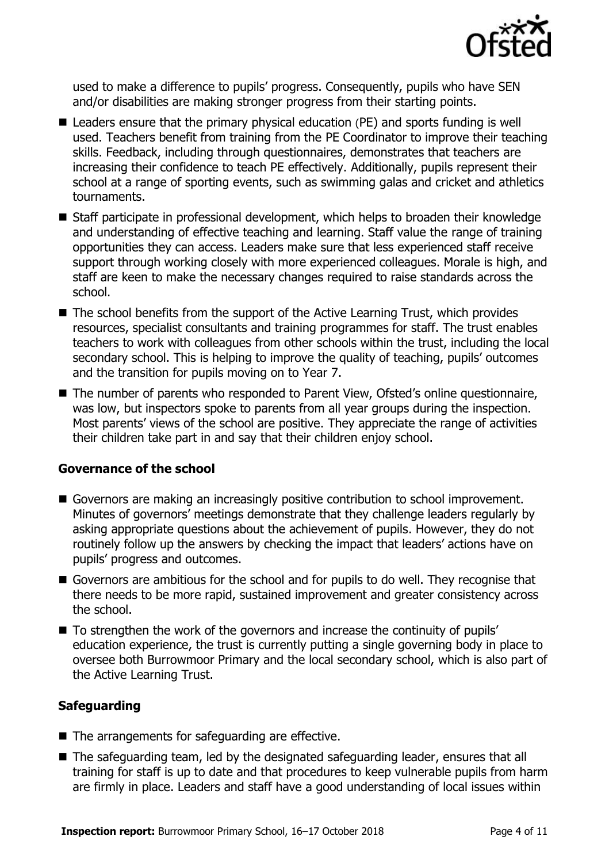

used to make a difference to pupils' progress. Consequently, pupils who have SEN and/or disabilities are making stronger progress from their starting points.

- Leaders ensure that the primary physical education (PE) and sports funding is well used. Teachers benefit from training from the PE Coordinator to improve their teaching skills. Feedback, including through questionnaires, demonstrates that teachers are increasing their confidence to teach PE effectively. Additionally, pupils represent their school at a range of sporting events, such as swimming galas and cricket and athletics tournaments.
- Staff participate in professional development, which helps to broaden their knowledge and understanding of effective teaching and learning. Staff value the range of training opportunities they can access. Leaders make sure that less experienced staff receive support through working closely with more experienced colleagues. Morale is high, and staff are keen to make the necessary changes required to raise standards across the school.
- $\blacksquare$  The school benefits from the support of the Active Learning Trust, which provides resources, specialist consultants and training programmes for staff. The trust enables teachers to work with colleagues from other schools within the trust, including the local secondary school. This is helping to improve the quality of teaching, pupils' outcomes and the transition for pupils moving on to Year 7.
- The number of parents who responded to Parent View, Ofsted's online questionnaire, was low, but inspectors spoke to parents from all year groups during the inspection. Most parents' views of the school are positive. They appreciate the range of activities their children take part in and say that their children enjoy school.

# **Governance of the school**

- Governors are making an increasingly positive contribution to school improvement. Minutes of governors' meetings demonstrate that they challenge leaders regularly by asking appropriate questions about the achievement of pupils. However, they do not routinely follow up the answers by checking the impact that leaders' actions have on pupils' progress and outcomes.
- Governors are ambitious for the school and for pupils to do well. They recognise that there needs to be more rapid, sustained improvement and greater consistency across the school.
- To strengthen the work of the governors and increase the continuity of pupils' education experience, the trust is currently putting a single governing body in place to oversee both Burrowmoor Primary and the local secondary school, which is also part of the Active Learning Trust.

# **Safeguarding**

- $\blacksquare$  The arrangements for safeguarding are effective.
- The safeguarding team, led by the designated safeguarding leader, ensures that all training for staff is up to date and that procedures to keep vulnerable pupils from harm are firmly in place. Leaders and staff have a good understanding of local issues within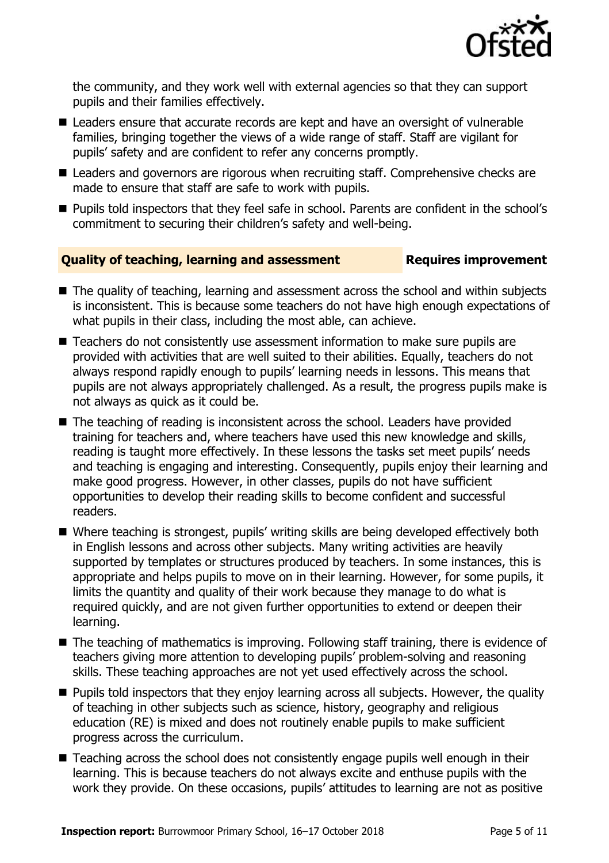

the community, and they work well with external agencies so that they can support pupils and their families effectively.

- Leaders ensure that accurate records are kept and have an oversight of vulnerable families, bringing together the views of a wide range of staff. Staff are vigilant for pupils' safety and are confident to refer any concerns promptly.
- Leaders and governors are rigorous when recruiting staff. Comprehensive checks are made to ensure that staff are safe to work with pupils.
- **Pupils told inspectors that they feel safe in school. Parents are confident in the school's** commitment to securing their children's safety and well-being.

# **Quality of teaching, learning and assessment Requires improvement**

- The quality of teaching, learning and assessment across the school and within subjects is inconsistent. This is because some teachers do not have high enough expectations of what pupils in their class, including the most able, can achieve.
- Teachers do not consistently use assessment information to make sure pupils are provided with activities that are well suited to their abilities. Equally, teachers do not always respond rapidly enough to pupils' learning needs in lessons. This means that pupils are not always appropriately challenged. As a result, the progress pupils make is not always as quick as it could be.
- The teaching of reading is inconsistent across the school. Leaders have provided training for teachers and, where teachers have used this new knowledge and skills, reading is taught more effectively. In these lessons the tasks set meet pupils' needs and teaching is engaging and interesting. Consequently, pupils enjoy their learning and make good progress. However, in other classes, pupils do not have sufficient opportunities to develop their reading skills to become confident and successful readers.
- Where teaching is strongest, pupils' writing skills are being developed effectively both in English lessons and across other subjects. Many writing activities are heavily supported by templates or structures produced by teachers. In some instances, this is appropriate and helps pupils to move on in their learning. However, for some pupils, it limits the quantity and quality of their work because they manage to do what is required quickly, and are not given further opportunities to extend or deepen their learning.
- The teaching of mathematics is improving. Following staff training, there is evidence of teachers giving more attention to developing pupils' problem-solving and reasoning skills. These teaching approaches are not yet used effectively across the school.
- **Pupils told inspectors that they enjoy learning across all subjects. However, the quality** of teaching in other subjects such as science, history, geography and religious education (RE) is mixed and does not routinely enable pupils to make sufficient progress across the curriculum.
- Teaching across the school does not consistently engage pupils well enough in their learning. This is because teachers do not always excite and enthuse pupils with the work they provide. On these occasions, pupils' attitudes to learning are not as positive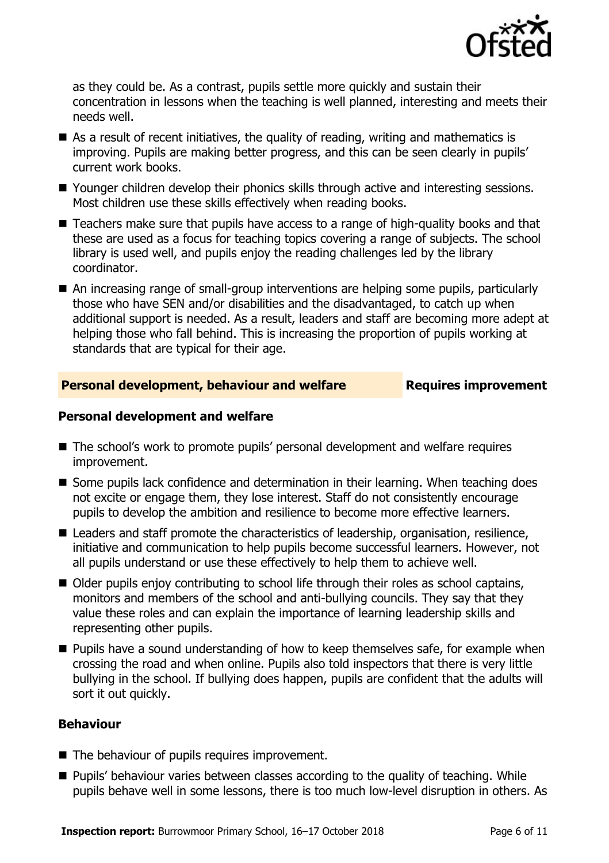

as they could be. As a contrast, pupils settle more quickly and sustain their concentration in lessons when the teaching is well planned, interesting and meets their needs well.

- As a result of recent initiatives, the quality of reading, writing and mathematics is improving. Pupils are making better progress, and this can be seen clearly in pupils' current work books.
- Younger children develop their phonics skills through active and interesting sessions. Most children use these skills effectively when reading books.
- Teachers make sure that pupils have access to a range of high-quality books and that these are used as a focus for teaching topics covering a range of subjects. The school library is used well, and pupils enjoy the reading challenges led by the library coordinator.
- An increasing range of small-group interventions are helping some pupils, particularly those who have SEN and/or disabilities and the disadvantaged, to catch up when additional support is needed. As a result, leaders and staff are becoming more adept at helping those who fall behind. This is increasing the proportion of pupils working at standards that are typical for their age.

# **Personal development, behaviour and welfare Fig. 2.1 Requires improvement**

# **Personal development and welfare**

- The school's work to promote pupils' personal development and welfare requires improvement.
- Some pupils lack confidence and determination in their learning. When teaching does not excite or engage them, they lose interest. Staff do not consistently encourage pupils to develop the ambition and resilience to become more effective learners.
- Leaders and staff promote the characteristics of leadership, organisation, resilience, initiative and communication to help pupils become successful learners. However, not all pupils understand or use these effectively to help them to achieve well.
- Older pupils enjoy contributing to school life through their roles as school captains, monitors and members of the school and anti-bullying councils. They say that they value these roles and can explain the importance of learning leadership skills and representing other pupils.
- **Pupils have a sound understanding of how to keep themselves safe, for example when** crossing the road and when online. Pupils also told inspectors that there is very little bullying in the school. If bullying does happen, pupils are confident that the adults will sort it out quickly.

# **Behaviour**

- The behaviour of pupils requires improvement.
- **Pupils' behaviour varies between classes according to the quality of teaching. While** pupils behave well in some lessons, there is too much low-level disruption in others. As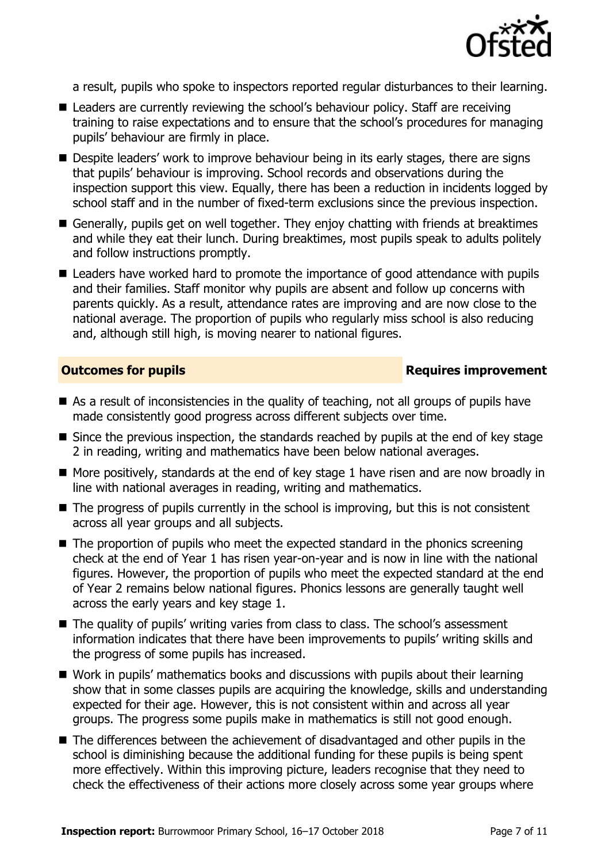

a result, pupils who spoke to inspectors reported regular disturbances to their learning.

- Leaders are currently reviewing the school's behaviour policy. Staff are receiving training to raise expectations and to ensure that the school's procedures for managing pupils' behaviour are firmly in place.
- **Despite leaders' work to improve behaviour being in its early stages, there are signs** that pupils' behaviour is improving. School records and observations during the inspection support this view. Equally, there has been a reduction in incidents logged by school staff and in the number of fixed-term exclusions since the previous inspection.
- Generally, pupils get on well together. They enjoy chatting with friends at breaktimes and while they eat their lunch. During breaktimes, most pupils speak to adults politely and follow instructions promptly.
- Leaders have worked hard to promote the importance of good attendance with pupils and their families. Staff monitor why pupils are absent and follow up concerns with parents quickly. As a result, attendance rates are improving and are now close to the national average. The proportion of pupils who regularly miss school is also reducing and, although still high, is moving nearer to national figures.

# **Outcomes for pupils Requires improvement**

- As a result of inconsistencies in the quality of teaching, not all groups of pupils have made consistently good progress across different subjects over time.
- Since the previous inspection, the standards reached by pupils at the end of key stage 2 in reading, writing and mathematics have been below national averages.
- $\blacksquare$  More positively, standards at the end of key stage 1 have risen and are now broadly in line with national averages in reading, writing and mathematics.
- $\blacksquare$  The progress of pupils currently in the school is improving, but this is not consistent across all year groups and all subjects.
- The proportion of pupils who meet the expected standard in the phonics screening check at the end of Year 1 has risen year-on-year and is now in line with the national figures. However, the proportion of pupils who meet the expected standard at the end of Year 2 remains below national figures. Phonics lessons are generally taught well across the early years and key stage 1.
- The quality of pupils' writing varies from class to class. The school's assessment information indicates that there have been improvements to pupils' writing skills and the progress of some pupils has increased.
- Work in pupils' mathematics books and discussions with pupils about their learning show that in some classes pupils are acquiring the knowledge, skills and understanding expected for their age. However, this is not consistent within and across all year groups. The progress some pupils make in mathematics is still not good enough.
- The differences between the achievement of disadvantaged and other pupils in the school is diminishing because the additional funding for these pupils is being spent more effectively. Within this improving picture, leaders recognise that they need to check the effectiveness of their actions more closely across some year groups where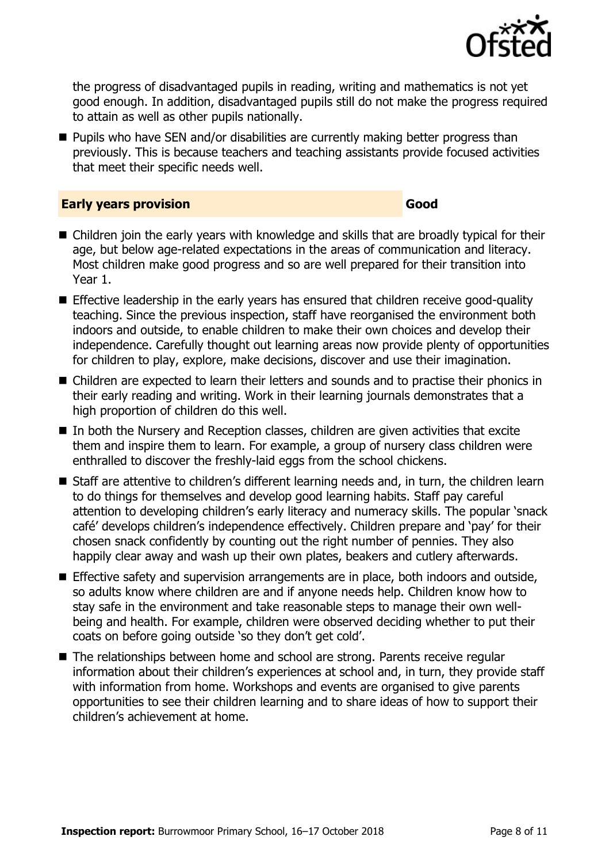

the progress of disadvantaged pupils in reading, writing and mathematics is not yet good enough. In addition, disadvantaged pupils still do not make the progress required to attain as well as other pupils nationally.

**Pupils who have SEN and/or disabilities are currently making better progress than** previously. This is because teachers and teaching assistants provide focused activities that meet their specific needs well.

### **Early years provision Good Good**

- Children join the early years with knowledge and skills that are broadly typical for their age, but below age-related expectations in the areas of communication and literacy. Most children make good progress and so are well prepared for their transition into Year 1.
- **Effective leadership in the early years has ensured that children receive good-quality** teaching. Since the previous inspection, staff have reorganised the environment both indoors and outside, to enable children to make their own choices and develop their independence. Carefully thought out learning areas now provide plenty of opportunities for children to play, explore, make decisions, discover and use their imagination.
- Children are expected to learn their letters and sounds and to practise their phonics in their early reading and writing. Work in their learning journals demonstrates that a high proportion of children do this well.
- In both the Nursery and Reception classes, children are given activities that excite them and inspire them to learn. For example, a group of nursery class children were enthralled to discover the freshly-laid eggs from the school chickens.
- Staff are attentive to children's different learning needs and, in turn, the children learn to do things for themselves and develop good learning habits. Staff pay careful attention to developing children's early literacy and numeracy skills. The popular 'snack café' develops children's independence effectively. Children prepare and 'pay' for their chosen snack confidently by counting out the right number of pennies. They also happily clear away and wash up their own plates, beakers and cutlery afterwards.
- **Effective safety and supervision arrangements are in place, both indoors and outside,** so adults know where children are and if anyone needs help. Children know how to stay safe in the environment and take reasonable steps to manage their own wellbeing and health. For example, children were observed deciding whether to put their coats on before going outside 'so they don't get cold'.
- The relationships between home and school are strong. Parents receive regular information about their children's experiences at school and, in turn, they provide staff with information from home. Workshops and events are organised to give parents opportunities to see their children learning and to share ideas of how to support their children's achievement at home.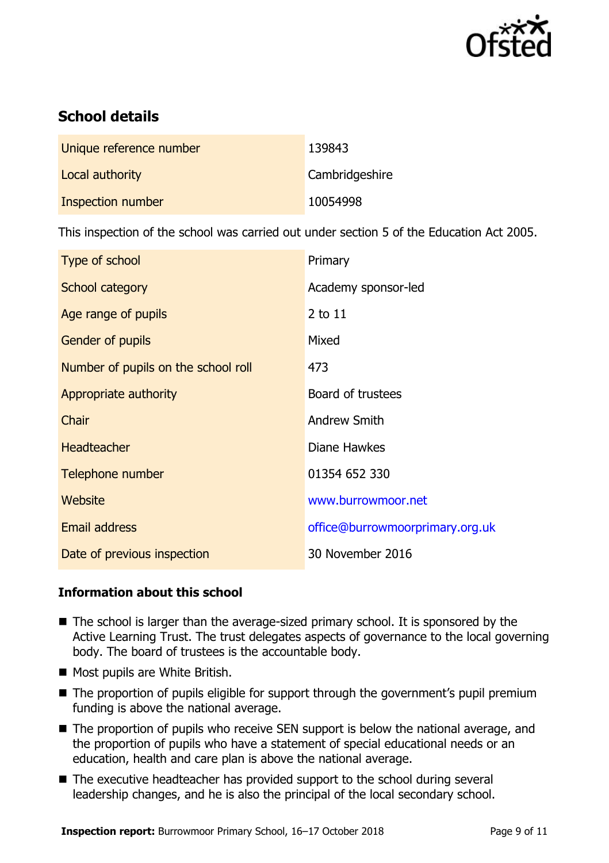

# **School details**

| Unique reference number | 139843         |
|-------------------------|----------------|
| Local authority         | Cambridgeshire |
| Inspection number       | 10054998       |

This inspection of the school was carried out under section 5 of the Education Act 2005.

| Type of school                      | Primary                         |
|-------------------------------------|---------------------------------|
| School category                     | Academy sponsor-led             |
| Age range of pupils                 | 2 to 11                         |
| <b>Gender of pupils</b>             | Mixed                           |
| Number of pupils on the school roll | 473                             |
| Appropriate authority               | Board of trustees               |
| Chair                               | Andrew Smith                    |
| <b>Headteacher</b>                  | Diane Hawkes                    |
| Telephone number                    | 01354 652 330                   |
| Website                             | www.burrowmoor.net              |
| Email address                       | office@burrowmoorprimary.org.uk |
| Date of previous inspection         | 30 November 2016                |

# **Information about this school**

- $\blacksquare$  The school is larger than the average-sized primary school. It is sponsored by the Active Learning Trust. The trust delegates aspects of governance to the local governing body. The board of trustees is the accountable body.
- Most pupils are White British.
- The proportion of pupils eligible for support through the government's pupil premium funding is above the national average.
- The proportion of pupils who receive SEN support is below the national average, and the proportion of pupils who have a statement of special educational needs or an education, health and care plan is above the national average.
- The executive headteacher has provided support to the school during several leadership changes, and he is also the principal of the local secondary school.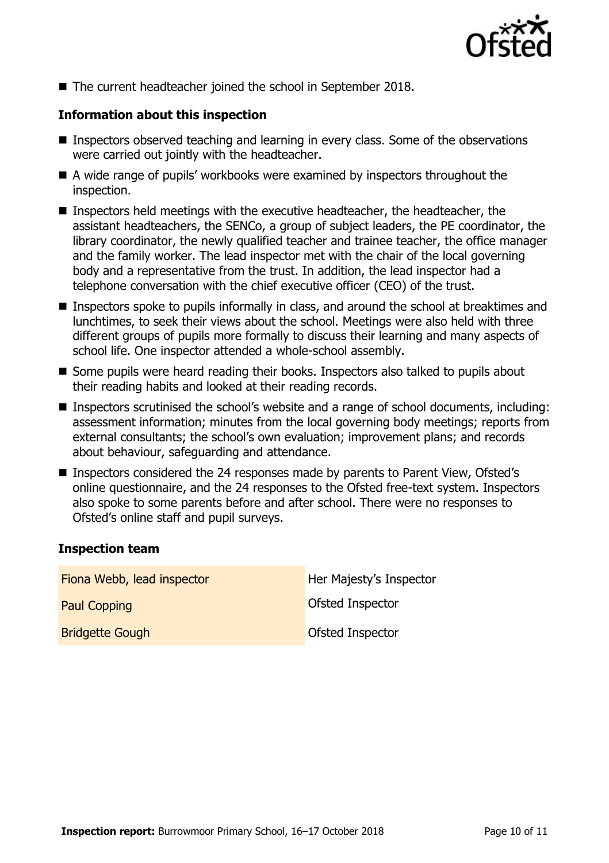

The current headteacher joined the school in September 2018.

# **Information about this inspection**

- Inspectors observed teaching and learning in every class. Some of the observations were carried out jointly with the headteacher.
- A wide range of pupils' workbooks were examined by inspectors throughout the inspection.
- Inspectors held meetings with the executive headteacher, the headteacher, the assistant headteachers, the SENCo, a group of subject leaders, the PE coordinator, the library coordinator, the newly qualified teacher and trainee teacher, the office manager and the family worker. The lead inspector met with the chair of the local governing body and a representative from the trust. In addition, the lead inspector had a telephone conversation with the chief executive officer (CEO) of the trust.
- Inspectors spoke to pupils informally in class, and around the school at breaktimes and lunchtimes, to seek their views about the school. Meetings were also held with three different groups of pupils more formally to discuss their learning and many aspects of school life. One inspector attended a whole-school assembly.
- Some pupils were heard reading their books. Inspectors also talked to pupils about their reading habits and looked at their reading records.
- Inspectors scrutinised the school's website and a range of school documents, including: assessment information; minutes from the local governing body meetings; reports from external consultants; the school's own evaluation; improvement plans; and records about behaviour, safeguarding and attendance.
- Inspectors considered the 24 responses made by parents to Parent View, Ofsted's online questionnaire, and the 24 responses to the Ofsted free-text system. Inspectors also spoke to some parents before and after school. There were no responses to Ofsted's online staff and pupil surveys.

# **Inspection team**

| Fiona Webb, lead inspector | Her Majesty's Inspector |
|----------------------------|-------------------------|
| <b>Paul Copping</b>        | <b>Ofsted Inspector</b> |
| <b>Bridgette Gough</b>     | Ofsted Inspector        |